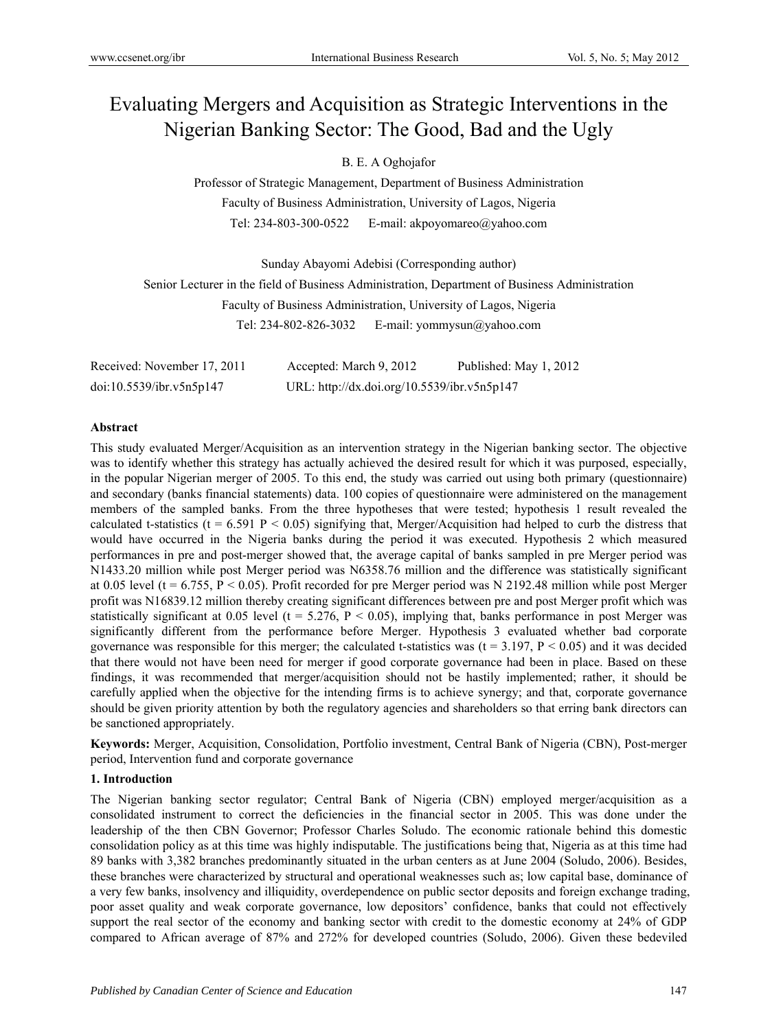# Evaluating Mergers and Acquisition as Strategic Interventions in the Nigerian Banking Sector: The Good, Bad and the Ugly

B. E. A Oghojafor

Professor of Strategic Management, Department of Business Administration Faculty of Business Administration, University of Lagos, Nigeria Tel: 234-803-300-0522 E-mail: akpoyomareo@yahoo.com

Sunday Abayomi Adebisi (Corresponding author) Senior Lecturer in the field of Business Administration, Department of Business Administration Faculty of Business Administration, University of Lagos, Nigeria Tel: 234-802-826-3032 E-mail: yommysun@yahoo.com

Received: November 17, 2011 Accepted: March 9, 2012 Published: May 1, 2012 doi:10.5539/ibr.v5n5p147 URL: http://dx.doi.org/10.5539/ibr.v5n5p147

# **Abstract**

This study evaluated Merger/Acquisition as an intervention strategy in the Nigerian banking sector. The objective was to identify whether this strategy has actually achieved the desired result for which it was purposed, especially, in the popular Nigerian merger of 2005. To this end, the study was carried out using both primary (questionnaire) and secondary (banks financial statements) data. 100 copies of questionnaire were administered on the management members of the sampled banks. From the three hypotheses that were tested; hypothesis 1 result revealed the calculated t-statistics (t =  $6.591 \text{ P} < 0.05$ ) signifying that, Merger/Acquisition had helped to curb the distress that would have occurred in the Nigeria banks during the period it was executed. Hypothesis 2 which measured performances in pre and post-merger showed that, the average capital of banks sampled in pre Merger period was N1433.20 million while post Merger period was N6358.76 million and the difference was statistically significant at 0.05 level (t = 6.755, P < 0.05). Profit recorded for pre Merger period was N 2192.48 million while post Merger profit was N16839.12 million thereby creating significant differences between pre and post Merger profit which was statistically significant at 0.05 level (t = 5.276,  $P < 0.05$ ), implying that, banks performance in post Merger was significantly different from the performance before Merger. Hypothesis 3 evaluated whether bad corporate governance was responsible for this merger; the calculated t-statistics was ( $t = 3.197$ ,  $P \le 0.05$ ) and it was decided that there would not have been need for merger if good corporate governance had been in place. Based on these findings, it was recommended that merger/acquisition should not be hastily implemented; rather, it should be carefully applied when the objective for the intending firms is to achieve synergy; and that, corporate governance should be given priority attention by both the regulatory agencies and shareholders so that erring bank directors can be sanctioned appropriately.

**Keywords:** Merger, Acquisition, Consolidation, Portfolio investment, Central Bank of Nigeria (CBN), Post-merger period, Intervention fund and corporate governance

## **1. Introduction**

The Nigerian banking sector regulator; Central Bank of Nigeria (CBN) employed merger/acquisition as a consolidated instrument to correct the deficiencies in the financial sector in 2005. This was done under the leadership of the then CBN Governor; Professor Charles Soludo. The economic rationale behind this domestic consolidation policy as at this time was highly indisputable. The justifications being that, Nigeria as at this time had 89 banks with 3,382 branches predominantly situated in the urban centers as at June 2004 (Soludo, 2006). Besides, these branches were characterized by structural and operational weaknesses such as; low capital base, dominance of a very few banks, insolvency and illiquidity, overdependence on public sector deposits and foreign exchange trading, poor asset quality and weak corporate governance, low depositors' confidence, banks that could not effectively support the real sector of the economy and banking sector with credit to the domestic economy at 24% of GDP compared to African average of 87% and 272% for developed countries (Soludo, 2006). Given these bedeviled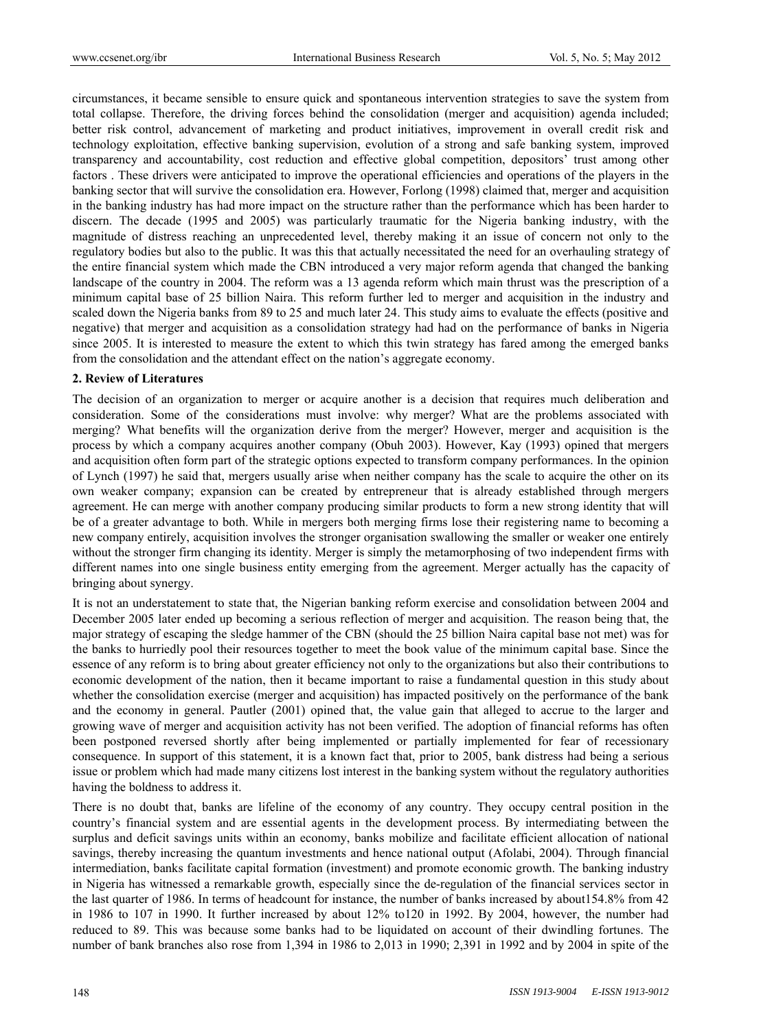circumstances, it became sensible to ensure quick and spontaneous intervention strategies to save the system from total collapse. Therefore, the driving forces behind the consolidation (merger and acquisition) agenda included; better risk control, advancement of marketing and product initiatives, improvement in overall credit risk and technology exploitation, effective banking supervision, evolution of a strong and safe banking system, improved transparency and accountability, cost reduction and effective global competition, depositors' trust among other factors . These drivers were anticipated to improve the operational efficiencies and operations of the players in the banking sector that will survive the consolidation era. However, Forlong (1998) claimed that, merger and acquisition in the banking industry has had more impact on the structure rather than the performance which has been harder to discern. The decade (1995 and 2005) was particularly traumatic for the Nigeria banking industry, with the magnitude of distress reaching an unprecedented level, thereby making it an issue of concern not only to the regulatory bodies but also to the public. It was this that actually necessitated the need for an overhauling strategy of the entire financial system which made the CBN introduced a very major reform agenda that changed the banking landscape of the country in 2004. The reform was a 13 agenda reform which main thrust was the prescription of a minimum capital base of 25 billion Naira. This reform further led to merger and acquisition in the industry and scaled down the Nigeria banks from 89 to 25 and much later 24. This study aims to evaluate the effects (positive and negative) that merger and acquisition as a consolidation strategy had had on the performance of banks in Nigeria since 2005. It is interested to measure the extent to which this twin strategy has fared among the emerged banks from the consolidation and the attendant effect on the nation's aggregate economy.

#### **2. Review of Literatures**

The decision of an organization to merger or acquire another is a decision that requires much deliberation and consideration. Some of the considerations must involve: why merger? What are the problems associated with merging? What benefits will the organization derive from the merger? However, merger and acquisition is the process by which a company acquires another company (Obuh 2003). However, Kay (1993) opined that mergers and acquisition often form part of the strategic options expected to transform company performances. In the opinion of Lynch (1997) he said that, mergers usually arise when neither company has the scale to acquire the other on its own weaker company; expansion can be created by entrepreneur that is already established through mergers agreement. He can merge with another company producing similar products to form a new strong identity that will be of a greater advantage to both. While in mergers both merging firms lose their registering name to becoming a new company entirely, acquisition involves the stronger organisation swallowing the smaller or weaker one entirely without the stronger firm changing its identity. Merger is simply the metamorphosing of two independent firms with different names into one single business entity emerging from the agreement. Merger actually has the capacity of bringing about synergy.

It is not an understatement to state that, the Nigerian banking reform exercise and consolidation between 2004 and December 2005 later ended up becoming a serious reflection of merger and acquisition. The reason being that, the major strategy of escaping the sledge hammer of the CBN (should the 25 billion Naira capital base not met) was for the banks to hurriedly pool their resources together to meet the book value of the minimum capital base. Since the essence of any reform is to bring about greater efficiency not only to the organizations but also their contributions to economic development of the nation, then it became important to raise a fundamental question in this study about whether the consolidation exercise (merger and acquisition) has impacted positively on the performance of the bank and the economy in general. Pautler (2001) opined that, the value gain that alleged to accrue to the larger and growing wave of merger and acquisition activity has not been verified. The adoption of financial reforms has often been postponed reversed shortly after being implemented or partially implemented for fear of recessionary consequence. In support of this statement, it is a known fact that, prior to 2005, bank distress had being a serious issue or problem which had made many citizens lost interest in the banking system without the regulatory authorities having the boldness to address it.

There is no doubt that, banks are lifeline of the economy of any country. They occupy central position in the country's financial system and are essential agents in the development process. By intermediating between the surplus and deficit savings units within an economy, banks mobilize and facilitate efficient allocation of national savings, thereby increasing the quantum investments and hence national output (Afolabi, 2004). Through financial intermediation, banks facilitate capital formation (investment) and promote economic growth. The banking industry in Nigeria has witnessed a remarkable growth, especially since the de-regulation of the financial services sector in the last quarter of 1986. In terms of headcount for instance, the number of banks increased by about154.8% from 42 in 1986 to 107 in 1990. It further increased by about 12% to120 in 1992. By 2004, however, the number had reduced to 89. This was because some banks had to be liquidated on account of their dwindling fortunes. The number of bank branches also rose from 1,394 in 1986 to 2,013 in 1990; 2,391 in 1992 and by 2004 in spite of the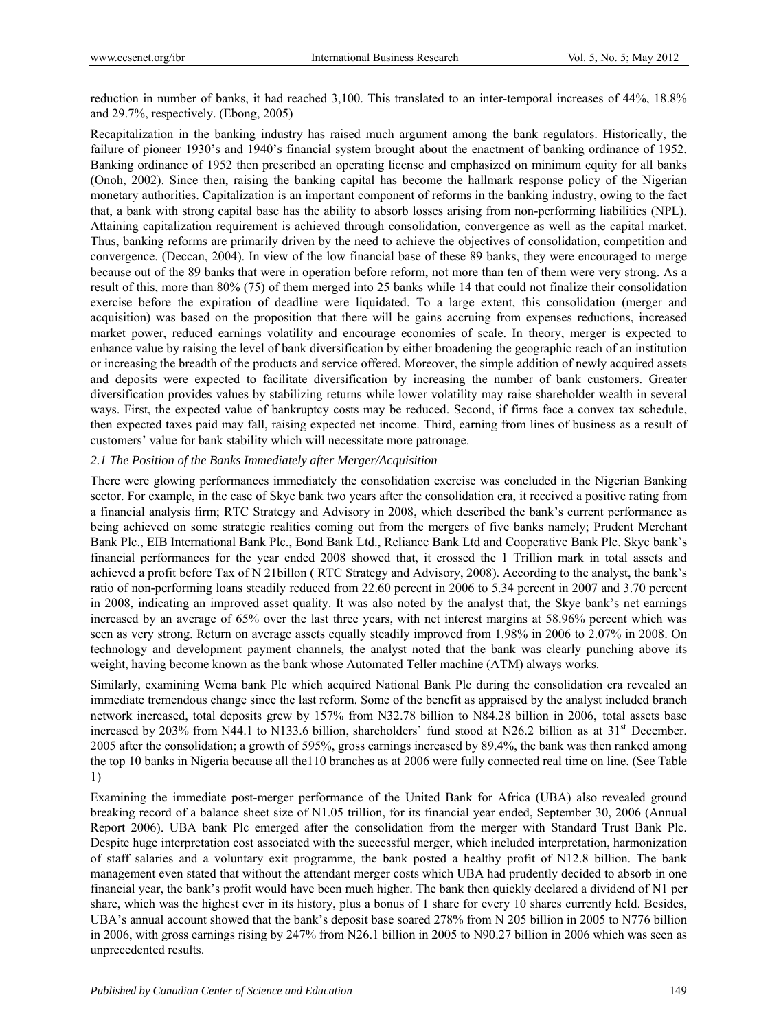reduction in number of banks, it had reached 3,100. This translated to an inter-temporal increases of 44%, 18.8% and 29.7%, respectively. (Ebong, 2005)

Recapitalization in the banking industry has raised much argument among the bank regulators. Historically, the failure of pioneer 1930's and 1940's financial system brought about the enactment of banking ordinance of 1952. Banking ordinance of 1952 then prescribed an operating license and emphasized on minimum equity for all banks (Onoh, 2002). Since then, raising the banking capital has become the hallmark response policy of the Nigerian monetary authorities. Capitalization is an important component of reforms in the banking industry, owing to the fact that, a bank with strong capital base has the ability to absorb losses arising from non-performing liabilities (NPL). Attaining capitalization requirement is achieved through consolidation, convergence as well as the capital market. Thus, banking reforms are primarily driven by the need to achieve the objectives of consolidation, competition and convergence. (Deccan, 2004). In view of the low financial base of these 89 banks, they were encouraged to merge because out of the 89 banks that were in operation before reform, not more than ten of them were very strong. As a result of this, more than 80% (75) of them merged into 25 banks while 14 that could not finalize their consolidation exercise before the expiration of deadline were liquidated. To a large extent, this consolidation (merger and acquisition) was based on the proposition that there will be gains accruing from expenses reductions, increased market power, reduced earnings volatility and encourage economies of scale. In theory, merger is expected to enhance value by raising the level of bank diversification by either broadening the geographic reach of an institution or increasing the breadth of the products and service offered. Moreover, the simple addition of newly acquired assets and deposits were expected to facilitate diversification by increasing the number of bank customers. Greater diversification provides values by stabilizing returns while lower volatility may raise shareholder wealth in several ways. First, the expected value of bankruptcy costs may be reduced. Second, if firms face a convex tax schedule, then expected taxes paid may fall, raising expected net income. Third, earning from lines of business as a result of customers' value for bank stability which will necessitate more patronage.

# *2.1 The Position of the Banks Immediately after Merger/Acquisition*

There were glowing performances immediately the consolidation exercise was concluded in the Nigerian Banking sector. For example, in the case of Skye bank two years after the consolidation era, it received a positive rating from a financial analysis firm; RTC Strategy and Advisory in 2008, which described the bank's current performance as being achieved on some strategic realities coming out from the mergers of five banks namely; Prudent Merchant Bank Plc., EIB International Bank Plc., Bond Bank Ltd., Reliance Bank Ltd and Cooperative Bank Plc. Skye bank's financial performances for the year ended 2008 showed that, it crossed the 1 Trillion mark in total assets and achieved a profit before Tax of N 21billon ( RTC Strategy and Advisory, 2008). According to the analyst, the bank's ratio of non-performing loans steadily reduced from 22.60 percent in 2006 to 5.34 percent in 2007 and 3.70 percent in 2008, indicating an improved asset quality. It was also noted by the analyst that, the Skye bank's net earnings increased by an average of 65% over the last three years, with net interest margins at 58.96% percent which was seen as very strong. Return on average assets equally steadily improved from 1.98% in 2006 to 2.07% in 2008. On technology and development payment channels, the analyst noted that the bank was clearly punching above its weight, having become known as the bank whose Automated Teller machine (ATM) always works.

Similarly, examining Wema bank Plc which acquired National Bank Plc during the consolidation era revealed an immediate tremendous change since the last reform. Some of the benefit as appraised by the analyst included branch network increased, total deposits grew by 157% from N32.78 billion to N84.28 billion in 2006, total assets base increased by 203% from N44.1 to N133.6 billion, shareholders' fund stood at N26.2 billion as at  $31<sup>st</sup>$  December. 2005 after the consolidation; a growth of 595%, gross earnings increased by 89.4%, the bank was then ranked among the top 10 banks in Nigeria because all the110 branches as at 2006 were fully connected real time on line. (See Table 1)

Examining the immediate post-merger performance of the United Bank for Africa (UBA) also revealed ground breaking record of a balance sheet size of N1.05 trillion, for its financial year ended, September 30, 2006 (Annual Report 2006). UBA bank Plc emerged after the consolidation from the merger with Standard Trust Bank Plc. Despite huge interpretation cost associated with the successful merger, which included interpretation, harmonization of staff salaries and a voluntary exit programme, the bank posted a healthy profit of N12.8 billion. The bank management even stated that without the attendant merger costs which UBA had prudently decided to absorb in one financial year, the bank's profit would have been much higher. The bank then quickly declared a dividend of N1 per share, which was the highest ever in its history, plus a bonus of 1 share for every 10 shares currently held. Besides, UBA's annual account showed that the bank's deposit base soared 278% from N 205 billion in 2005 to N776 billion in 2006, with gross earnings rising by 247% from N26.1 billion in 2005 to N90.27 billion in 2006 which was seen as unprecedented results.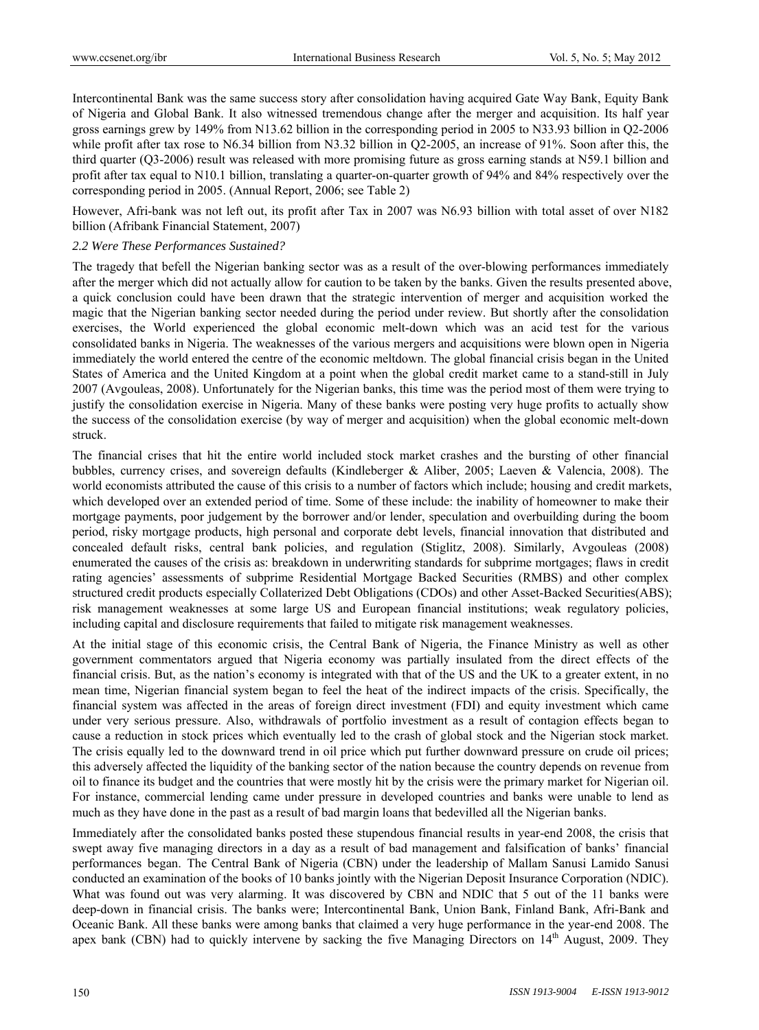Intercontinental Bank was the same success story after consolidation having acquired Gate Way Bank, Equity Bank of Nigeria and Global Bank. It also witnessed tremendous change after the merger and acquisition. Its half year gross earnings grew by 149% from N13.62 billion in the corresponding period in 2005 to N33.93 billion in Q2-2006 while profit after tax rose to N6.34 billion from N3.32 billion in Q2-2005, an increase of 91%. Soon after this, the third quarter (Q3-2006) result was released with more promising future as gross earning stands at N59.1 billion and profit after tax equal to N10.1 billion, translating a quarter-on-quarter growth of 94% and 84% respectively over the corresponding period in 2005. (Annual Report, 2006; see Table 2)

However, Afri-bank was not left out, its profit after Tax in 2007 was N6.93 billion with total asset of over N182 billion (Afribank Financial Statement, 2007)

#### *2.2 Were These Performances Sustained?*

The tragedy that befell the Nigerian banking sector was as a result of the over-blowing performances immediately after the merger which did not actually allow for caution to be taken by the banks. Given the results presented above, a quick conclusion could have been drawn that the strategic intervention of merger and acquisition worked the magic that the Nigerian banking sector needed during the period under review. But shortly after the consolidation exercises, the World experienced the global economic melt-down which was an acid test for the various consolidated banks in Nigeria. The weaknesses of the various mergers and acquisitions were blown open in Nigeria immediately the world entered the centre of the economic meltdown. The global financial crisis began in the United States of America and the United Kingdom at a point when the global credit market came to a stand-still in July 2007 (Avgouleas, 2008). Unfortunately for the Nigerian banks, this time was the period most of them were trying to justify the consolidation exercise in Nigeria. Many of these banks were posting very huge profits to actually show the success of the consolidation exercise (by way of merger and acquisition) when the global economic melt-down struck.

The financial crises that hit the entire world included stock market crashes and the bursting of other financial bubbles, currency crises, and sovereign defaults (Kindleberger & Aliber, 2005; Laeven & Valencia, 2008). The world economists attributed the cause of this crisis to a number of factors which include; housing and credit markets, which developed over an extended period of time. Some of these include: the inability of homeowner to make their mortgage payments, poor judgement by the borrower and/or lender, speculation and overbuilding during the boom period, risky mortgage products, high personal and corporate debt levels, financial innovation that distributed and concealed default risks, central bank policies, and regulation (Stiglitz, 2008). Similarly, Avgouleas (2008) enumerated the causes of the crisis as: breakdown in underwriting standards for subprime mortgages; flaws in credit rating agencies' assessments of subprime Residential Mortgage Backed Securities (RMBS) and other complex structured credit products especially Collaterized Debt Obligations (CDOs) and other Asset-Backed Securities(ABS); risk management weaknesses at some large US and European financial institutions; weak regulatory policies, including capital and disclosure requirements that failed to mitigate risk management weaknesses.

At the initial stage of this economic crisis, the Central Bank of Nigeria, the Finance Ministry as well as other government commentators argued that Nigeria economy was partially insulated from the direct effects of the financial crisis. But, as the nation's economy is integrated with that of the US and the UK to a greater extent, in no mean time, Nigerian financial system began to feel the heat of the indirect impacts of the crisis. Specifically, the financial system was affected in the areas of foreign direct investment (FDI) and equity investment which came under very serious pressure. Also, withdrawals of portfolio investment as a result of contagion effects began to cause a reduction in stock prices which eventually led to the crash of global stock and the Nigerian stock market. The crisis equally led to the downward trend in oil price which put further downward pressure on crude oil prices; this adversely affected the liquidity of the banking sector of the nation because the country depends on revenue from oil to finance its budget and the countries that were mostly hit by the crisis were the primary market for Nigerian oil. For instance, commercial lending came under pressure in developed countries and banks were unable to lend as much as they have done in the past as a result of bad margin loans that bedevilled all the Nigerian banks.

Immediately after the consolidated banks posted these stupendous financial results in year-end 2008, the crisis that swept away five managing directors in a day as a result of bad management and falsification of banks' financial performances began. The Central Bank of Nigeria (CBN) under the leadership of Mallam Sanusi Lamido Sanusi conducted an examination of the books of 10 banks jointly with the Nigerian Deposit Insurance Corporation (NDIC). What was found out was very alarming. It was discovered by CBN and NDIC that 5 out of the 11 banks were deep-down in financial crisis. The banks were; Intercontinental Bank, Union Bank, Finland Bank, Afri-Bank and Oceanic Bank. All these banks were among banks that claimed a very huge performance in the year-end 2008. The apex bank (CBN) had to quickly intervene by sacking the five Managing Directors on  $14<sup>th</sup>$  August, 2009. They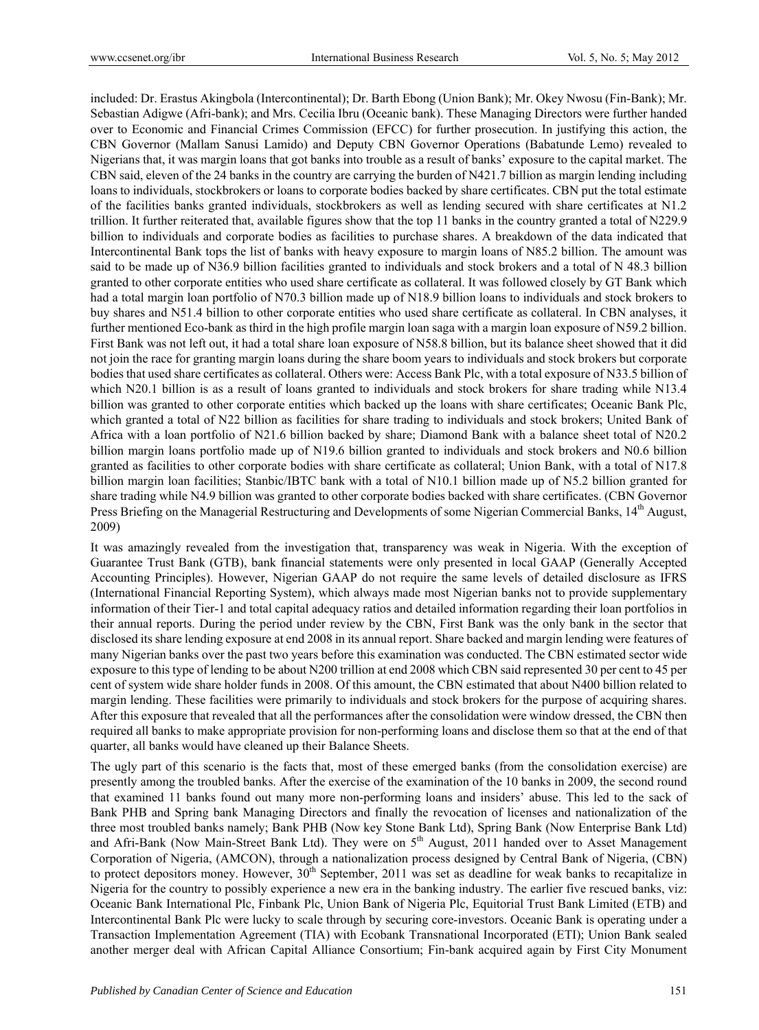included: Dr. Erastus Akingbola (Intercontinental); Dr. Barth Ebong (Union Bank); Mr. Okey Nwosu (Fin-Bank); Mr. Sebastian Adigwe (Afri-bank); and Mrs. Cecilia Ibru (Oceanic bank). These Managing Directors were further handed over to Economic and Financial Crimes Commission (EFCC) for further prosecution. In justifying this action, the CBN Governor (Mallam Sanusi Lamido) and Deputy CBN Governor Operations (Babatunde Lemo) revealed to Nigerians that, it was margin loans that got banks into trouble as a result of banks' exposure to the capital market. The CBN said, eleven of the 24 banks in the country are carrying the burden of N421.7 billion as margin lending including loans to individuals, stockbrokers or loans to corporate bodies backed by share certificates. CBN put the total estimate of the facilities banks granted individuals, stockbrokers as well as lending secured with share certificates at N1.2 trillion. It further reiterated that, available figures show that the top 11 banks in the country granted a total of N229.9 billion to individuals and corporate bodies as facilities to purchase shares. A breakdown of the data indicated that Intercontinental Bank tops the list of banks with heavy exposure to margin loans of N85.2 billion. The amount was said to be made up of N36.9 billion facilities granted to individuals and stock brokers and a total of N 48.3 billion granted to other corporate entities who used share certificate as collateral. It was followed closely by GT Bank which had a total margin loan portfolio of N70.3 billion made up of N18.9 billion loans to individuals and stock brokers to buy shares and N51.4 billion to other corporate entities who used share certificate as collateral. In CBN analyses, it further mentioned Eco-bank as third in the high profile margin loan saga with a margin loan exposure of N59.2 billion. First Bank was not left out, it had a total share loan exposure of N58.8 billion, but its balance sheet showed that it did not join the race for granting margin loans during the share boom years to individuals and stock brokers but corporate bodies that used share certificates as collateral. Others were: Access Bank Plc, with a total exposure of N33.5 billion of which N20.1 billion is as a result of loans granted to individuals and stock brokers for share trading while N13.4 billion was granted to other corporate entities which backed up the loans with share certificates; Oceanic Bank Plc, which granted a total of N22 billion as facilities for share trading to individuals and stock brokers; United Bank of Africa with a loan portfolio of N21.6 billion backed by share; Diamond Bank with a balance sheet total of N20.2 billion margin loans portfolio made up of N19.6 billion granted to individuals and stock brokers and N0.6 billion granted as facilities to other corporate bodies with share certificate as collateral; Union Bank, with a total of N17.8 billion margin loan facilities; Stanbic/IBTC bank with a total of N10.1 billion made up of N5.2 billion granted for share trading while N4.9 billion was granted to other corporate bodies backed with share certificates. (CBN Governor Press Briefing on the Managerial Restructuring and Developments of some Nigerian Commercial Banks, 14<sup>th</sup> August, 2009)

It was amazingly revealed from the investigation that, transparency was weak in Nigeria. With the exception of Guarantee Trust Bank (GTB), bank financial statements were only presented in local GAAP (Generally Accepted Accounting Principles). However, Nigerian GAAP do not require the same levels of detailed disclosure as IFRS (International Financial Reporting System), which always made most Nigerian banks not to provide supplementary information of their Tier-1 and total capital adequacy ratios and detailed information regarding their loan portfolios in their annual reports. During the period under review by the CBN, First Bank was the only bank in the sector that disclosed its share lending exposure at end 2008 in its annual report. Share backed and margin lending were features of many Nigerian banks over the past two years before this examination was conducted. The CBN estimated sector wide exposure to this type of lending to be about N200 trillion at end 2008 which CBN said represented 30 per cent to 45 per cent of system wide share holder funds in 2008. Of this amount, the CBN estimated that about N400 billion related to margin lending. These facilities were primarily to individuals and stock brokers for the purpose of acquiring shares. After this exposure that revealed that all the performances after the consolidation were window dressed, the CBN then required all banks to make appropriate provision for non-performing loans and disclose them so that at the end of that quarter, all banks would have cleaned up their Balance Sheets.

The ugly part of this scenario is the facts that, most of these emerged banks (from the consolidation exercise) are presently among the troubled banks. After the exercise of the examination of the 10 banks in 2009, the second round that examined 11 banks found out many more non-performing loans and insiders' abuse. This led to the sack of Bank PHB and Spring bank Managing Directors and finally the revocation of licenses and nationalization of the three most troubled banks namely; Bank PHB (Now key Stone Bank Ltd), Spring Bank (Now Enterprise Bank Ltd) and Afri-Bank (Now Main-Street Bank Ltd). They were on 5<sup>th</sup> August, 2011 handed over to Asset Management Corporation of Nigeria, (AMCON), through a nationalization process designed by Central Bank of Nigeria, (CBN) to protect depositors money. However,  $30<sup>th</sup>$  September, 2011 was set as deadline for weak banks to recapitalize in Nigeria for the country to possibly experience a new era in the banking industry. The earlier five rescued banks, viz: Oceanic Bank International Plc, Finbank Plc, Union Bank of Nigeria Plc, Equitorial Trust Bank Limited (ETB) and Intercontinental Bank Plc were lucky to scale through by securing core-investors. Oceanic Bank is operating under a Transaction Implementation Agreement (TIA) with Ecobank Transnational Incorporated (ETI); Union Bank sealed another merger deal with African Capital Alliance Consortium; Fin-bank acquired again by First City Monument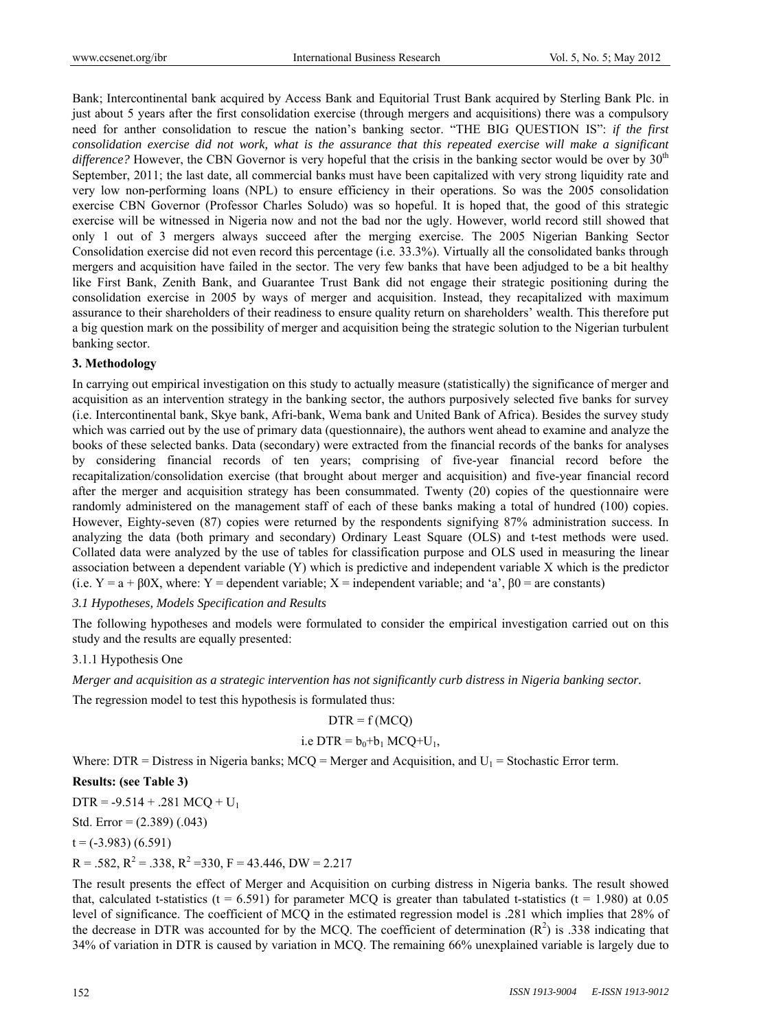Bank; Intercontinental bank acquired by Access Bank and Equitorial Trust Bank acquired by Sterling Bank Plc. in just about 5 years after the first consolidation exercise (through mergers and acquisitions) there was a compulsory need for anther consolidation to rescue the nation's banking sector. "THE BIG QUESTION IS": *if the first consolidation exercise did not work, what is the assurance that this repeated exercise will make a significant difference?* However, the CBN Governor is very hopeful that the crisis in the banking sector would be over by 30<sup>th</sup> September, 2011; the last date, all commercial banks must have been capitalized with very strong liquidity rate and very low non-performing loans (NPL) to ensure efficiency in their operations. So was the 2005 consolidation exercise CBN Governor (Professor Charles Soludo) was so hopeful. It is hoped that, the good of this strategic exercise will be witnessed in Nigeria now and not the bad nor the ugly. However, world record still showed that only 1 out of 3 mergers always succeed after the merging exercise. The 2005 Nigerian Banking Sector Consolidation exercise did not even record this percentage (i.e. 33.3%). Virtually all the consolidated banks through mergers and acquisition have failed in the sector. The very few banks that have been adjudged to be a bit healthy like First Bank, Zenith Bank, and Guarantee Trust Bank did not engage their strategic positioning during the consolidation exercise in 2005 by ways of merger and acquisition. Instead, they recapitalized with maximum assurance to their shareholders of their readiness to ensure quality return on shareholders' wealth. This therefore put a big question mark on the possibility of merger and acquisition being the strategic solution to the Nigerian turbulent banking sector.

#### **3. Methodology**

In carrying out empirical investigation on this study to actually measure (statistically) the significance of merger and acquisition as an intervention strategy in the banking sector, the authors purposively selected five banks for survey (i.e. Intercontinental bank, Skye bank, Afri-bank, Wema bank and United Bank of Africa). Besides the survey study which was carried out by the use of primary data (questionnaire), the authors went ahead to examine and analyze the books of these selected banks. Data (secondary) were extracted from the financial records of the banks for analyses by considering financial records of ten years; comprising of five-year financial record before the recapitalization/consolidation exercise (that brought about merger and acquisition) and five-year financial record after the merger and acquisition strategy has been consummated. Twenty (20) copies of the questionnaire were randomly administered on the management staff of each of these banks making a total of hundred (100) copies. However, Eighty-seven (87) copies were returned by the respondents signifying 87% administration success. In analyzing the data (both primary and secondary) Ordinary Least Square (OLS) and t-test methods were used. Collated data were analyzed by the use of tables for classification purpose and OLS used in measuring the linear association between a dependent variable (Y) which is predictive and independent variable X which is the predictor (i.e.  $Y = a + \beta 0X$ , where: Y = dependent variable; X = independent variable; and 'a',  $\beta 0$  = are constants)

#### *3.1 Hypotheses, Models Specification and Results*

The following hypotheses and models were formulated to consider the empirical investigation carried out on this study and the results are equally presented:

#### 3.1.1 Hypothesis One

*Merger and acquisition as a strategic intervention has not significantly curb distress in Nigeria banking sector.* 

The regression model to test this hypothesis is formulated thus:

$$
DTR = f(MCQ)
$$

i.e 
$$
DTR = b_0 + b_1 MCQ + U_1
$$
,

Where: DTR = Distress in Nigeria banks;  $MCQ$  = Merger and Acquisition, and  $U_1$  = Stochastic Error term.

#### **Results: (see Table 3)**

 $DTR = -9.514 + .281 MCQ + U_1$ 

Std. Error =  $(2.389)$   $(.043)$ 

 $t = (-3.983)(6.591)$ 

 $R = .582$ ,  $R^2 = .338$ ,  $R^2 = 330$ ,  $F = 43.446$ ,  $DW = 2.217$ 

The result presents the effect of Merger and Acquisition on curbing distress in Nigeria banks. The result showed that, calculated t-statistics (t = 6.591) for parameter MCQ is greater than tabulated t-statistics (t = 1.980) at 0.05 level of significance. The coefficient of MCQ in the estimated regression model is .281 which implies that 28% of the decrease in DTR was accounted for by the MCQ. The coefficient of determination  $(R^2)$  is .338 indicating that 34% of variation in DTR is caused by variation in MCQ. The remaining 66% unexplained variable is largely due to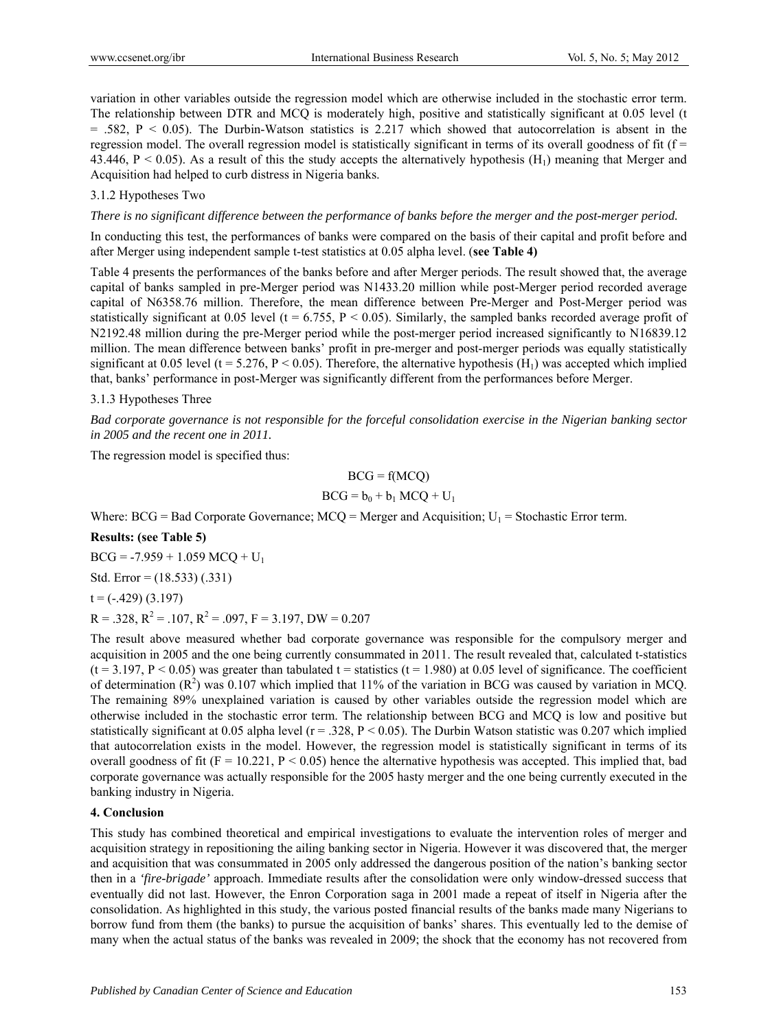variation in other variables outside the regression model which are otherwise included in the stochastic error term. The relationship between DTR and MCQ is moderately high, positive and statistically significant at 0.05 level (t  $= .582$ ,  $P < 0.05$ ). The Durbin-Watson statistics is 2.217 which showed that autocorrelation is absent in the regression model. The overall regression model is statistically significant in terms of its overall goodness of fit ( $f =$ 43.446, P < 0.05). As a result of this the study accepts the alternatively hypothesis  $(H<sub>1</sub>)$  meaning that Merger and Acquisition had helped to curb distress in Nigeria banks.

# 3.1.2 Hypotheses Two

*There is no significant difference between the performance of banks before the merger and the post-merger period.* 

In conducting this test, the performances of banks were compared on the basis of their capital and profit before and after Merger using independent sample t-test statistics at 0.05 alpha level. (**see Table 4)** 

Table 4 presents the performances of the banks before and after Merger periods. The result showed that, the average capital of banks sampled in pre-Merger period was N1433.20 million while post-Merger period recorded average capital of N6358.76 million. Therefore, the mean difference between Pre-Merger and Post-Merger period was statistically significant at 0.05 level (t = 6.755,  $P < 0.05$ ). Similarly, the sampled banks recorded average profit of N2192.48 million during the pre-Merger period while the post-merger period increased significantly to N16839.12 million. The mean difference between banks' profit in pre-merger and post-merger periods was equally statistically significant at 0.05 level (t = 5.276, P < 0.05). Therefore, the alternative hypothesis (H<sub>1</sub>) was accepted which implied that, banks' performance in post-Merger was significantly different from the performances before Merger.

#### 3.1.3 Hypotheses Three

*Bad corporate governance is not responsible for the forceful consolidation exercise in the Nigerian banking sector in 2005 and the recent one in 2011.* 

The regression model is specified thus:

## $BCG = f(MCO)$

# $BCG = b_0 + b_1 MCQ + U_1$

Where:  $BCG = Bad Corporate Government; MCQ = Merge and Acquisition; U<sub>1</sub> = Stochastic Error term.$ 

# **Results: (see Table 5)**

 $BCG = -7.959 + 1.059$  MCQ + U<sub>1</sub>

Std. Error =  $(18.533)$   $(.331)$ 

 $t = (-429) (3.197)$ 

 $R = 0.328$ ,  $R^2 = 0.107$ ,  $R^2 = 0.097$ ,  $F = 3.197$ ,  $DW = 0.207$ 

The result above measured whether bad corporate governance was responsible for the compulsory merger and acquisition in 2005 and the one being currently consummated in 2011. The result revealed that, calculated t-statistics  $(t = 3.197, P < 0.05)$  was greater than tabulated t = statistics  $(t = 1.980)$  at 0.05 level of significance. The coefficient of determination  $(R^2)$  was 0.107 which implied that 11% of the variation in BCG was caused by variation in MCQ. The remaining 89% unexplained variation is caused by other variables outside the regression model which are otherwise included in the stochastic error term. The relationship between BCG and MCQ is low and positive but statistically significant at 0.05 alpha level ( $r = 0.328$ ,  $P < 0.05$ ). The Durbin Watson statistic was 0.207 which implied that autocorrelation exists in the model. However, the regression model is statistically significant in terms of its overall goodness of fit  $(F = 10.221, P < 0.05)$  hence the alternative hypothesis was accepted. This implied that, bad corporate governance was actually responsible for the 2005 hasty merger and the one being currently executed in the banking industry in Nigeria.

## **4. Conclusion**

This study has combined theoretical and empirical investigations to evaluate the intervention roles of merger and acquisition strategy in repositioning the ailing banking sector in Nigeria. However it was discovered that, the merger and acquisition that was consummated in 2005 only addressed the dangerous position of the nation's banking sector then in a *'fire-brigade'* approach. Immediate results after the consolidation were only window-dressed success that eventually did not last. However, the Enron Corporation saga in 2001 made a repeat of itself in Nigeria after the consolidation. As highlighted in this study, the various posted financial results of the banks made many Nigerians to borrow fund from them (the banks) to pursue the acquisition of banks' shares. This eventually led to the demise of many when the actual status of the banks was revealed in 2009; the shock that the economy has not recovered from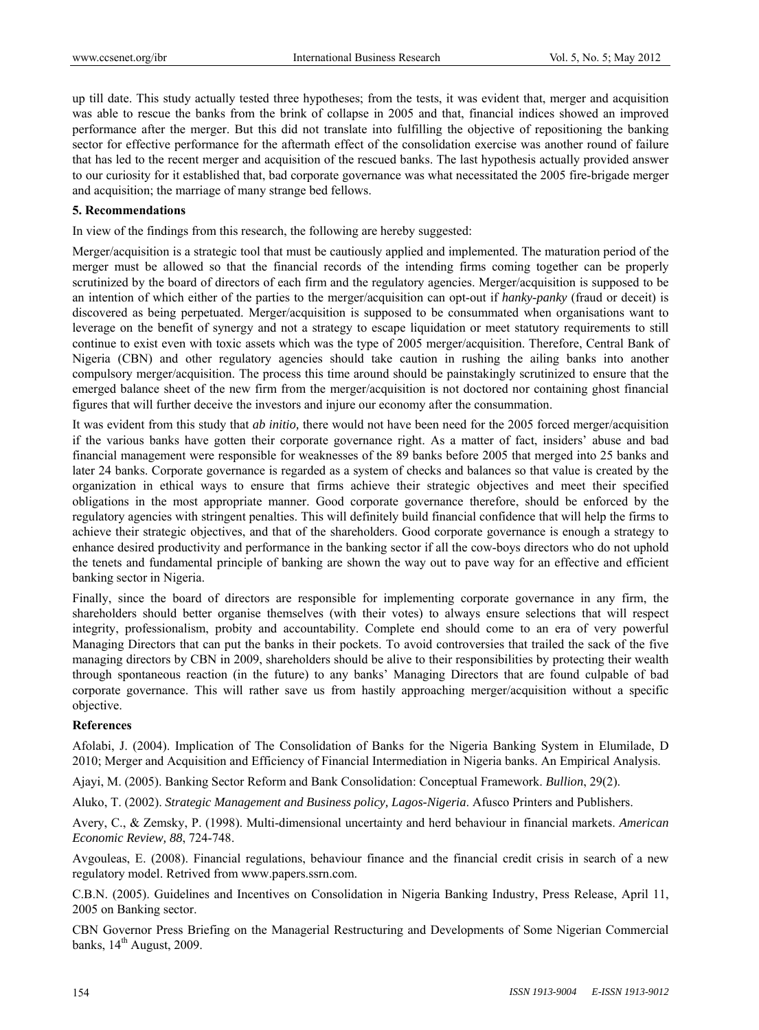up till date. This study actually tested three hypotheses; from the tests, it was evident that, merger and acquisition was able to rescue the banks from the brink of collapse in 2005 and that, financial indices showed an improved performance after the merger. But this did not translate into fulfilling the objective of repositioning the banking sector for effective performance for the aftermath effect of the consolidation exercise was another round of failure that has led to the recent merger and acquisition of the rescued banks. The last hypothesis actually provided answer to our curiosity for it established that, bad corporate governance was what necessitated the 2005 fire-brigade merger and acquisition; the marriage of many strange bed fellows.

### **5. Recommendations**

In view of the findings from this research, the following are hereby suggested:

Merger/acquisition is a strategic tool that must be cautiously applied and implemented. The maturation period of the merger must be allowed so that the financial records of the intending firms coming together can be properly scrutinized by the board of directors of each firm and the regulatory agencies. Merger/acquisition is supposed to be an intention of which either of the parties to the merger/acquisition can opt-out if *hanky-panky* (fraud or deceit) is discovered as being perpetuated. Merger/acquisition is supposed to be consummated when organisations want to leverage on the benefit of synergy and not a strategy to escape liquidation or meet statutory requirements to still continue to exist even with toxic assets which was the type of 2005 merger/acquisition. Therefore, Central Bank of Nigeria (CBN) and other regulatory agencies should take caution in rushing the ailing banks into another compulsory merger/acquisition. The process this time around should be painstakingly scrutinized to ensure that the emerged balance sheet of the new firm from the merger/acquisition is not doctored nor containing ghost financial figures that will further deceive the investors and injure our economy after the consummation.

It was evident from this study that *ab initio,* there would not have been need for the 2005 forced merger/acquisition if the various banks have gotten their corporate governance right. As a matter of fact, insiders' abuse and bad financial management were responsible for weaknesses of the 89 banks before 2005 that merged into 25 banks and later 24 banks. Corporate governance is regarded as a system of checks and balances so that value is created by the organization in ethical ways to ensure that firms achieve their strategic objectives and meet their specified obligations in the most appropriate manner. Good corporate governance therefore, should be enforced by the regulatory agencies with stringent penalties. This will definitely build financial confidence that will help the firms to achieve their strategic objectives, and that of the shareholders. Good corporate governance is enough a strategy to enhance desired productivity and performance in the banking sector if all the cow-boys directors who do not uphold the tenets and fundamental principle of banking are shown the way out to pave way for an effective and efficient banking sector in Nigeria.

Finally, since the board of directors are responsible for implementing corporate governance in any firm, the shareholders should better organise themselves (with their votes) to always ensure selections that will respect integrity, professionalism, probity and accountability. Complete end should come to an era of very powerful Managing Directors that can put the banks in their pockets. To avoid controversies that trailed the sack of the five managing directors by CBN in 2009, shareholders should be alive to their responsibilities by protecting their wealth through spontaneous reaction (in the future) to any banks' Managing Directors that are found culpable of bad corporate governance. This will rather save us from hastily approaching merger/acquisition without a specific objective.

#### **References**

Afolabi, J. (2004). Implication of The Consolidation of Banks for the Nigeria Banking System in Elumilade, D 2010; Merger and Acquisition and Efficiency of Financial Intermediation in Nigeria banks. An Empirical Analysis.

Ajayi, M. (2005). Banking Sector Reform and Bank Consolidation: Conceptual Framework. *Bullion*, 29(2).

Aluko, T. (2002). *Strategic Management and Business policy, Lagos-Nigeria*. Afusco Printers and Publishers.

Avery, C., & Zemsky, P. (1998). Multi-dimensional uncertainty and herd behaviour in financial markets. *American Economic Review, 88*, 724-748.

Avgouleas, E. (2008). Financial regulations, behaviour finance and the financial credit crisis in search of a new regulatory model. Retrived from www.papers.ssrn.com.

C.B.N. (2005). Guidelines and Incentives on Consolidation in Nigeria Banking Industry, Press Release, April 11, 2005 on Banking sector.

CBN Governor Press Briefing on the Managerial Restructuring and Developments of Some Nigerian Commercial banks,  $14<sup>th</sup>$  August, 2009.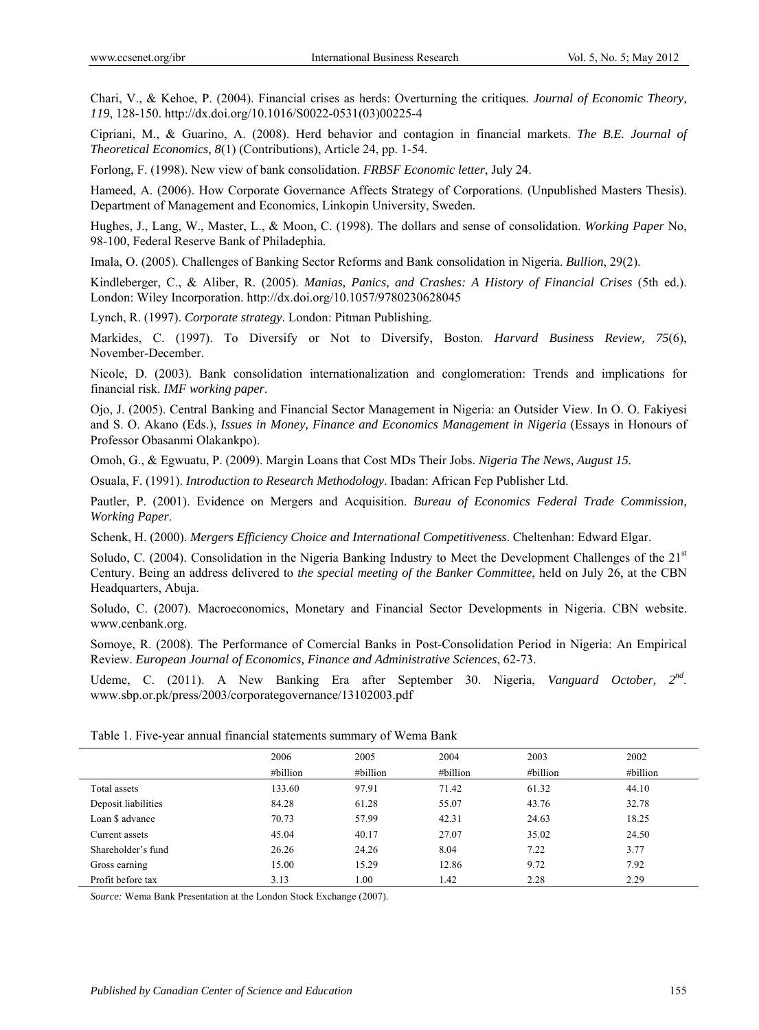Chari, V., & Kehoe, P. (2004). Financial crises as herds: Overturning the critiques. *Journal of Economic Theory, 119*, 128-150. http://dx.doi.org/10.1016/S0022-0531(03)00225-4

Cipriani, M., & Guarino, A. (2008). Herd behavior and contagion in financial markets. *The B.E. Journal of Theoretical Economics, 8*(1) (Contributions), Article 24, pp. 1-54.

Forlong, F. (1998). New view of bank consolidation. *FRBSF Economic letter*, July 24.

Hameed, A. (2006). How Corporate Governance Affects Strategy of Corporations. (Unpublished Masters Thesis). Department of Management and Economics, Linkopin University, Sweden*.*

Hughes, J., Lang, W., Master, L., & Moon, C. (1998). The dollars and sense of consolidation. *Working Paper* No, 98-100, Federal Reserve Bank of Philadephia.

Imala, O. (2005). Challenges of Banking Sector Reforms and Bank consolidation in Nigeria. *Bullion*, 29(2).

Kindleberger, C., & Aliber, R. (2005). *Manias, Panics, and Crashes: A History of Financial Crises* (5th ed.). London: Wiley Incorporation. http://dx.doi.org/10.1057/9780230628045

Lynch, R. (1997). *Corporate strategy*. London: Pitman Publishing.

Markides, C. (1997). To Diversify or Not to Diversify, Boston. *Harvard Business Review, 75*(6), November-December.

Nicole, D. (2003). Bank consolidation internationalization and conglomeration: Trends and implications for financial risk. *IMF working paper*.

Ojo, J. (2005). Central Banking and Financial Sector Management in Nigeria: an Outsider View. In O. O. Fakiyesi and S. O. Akano (Eds.), *Issues in Money, Finance and Economics Management in Nigeria* (Essays in Honours of Professor Obasanmi Olakankpo).

Omoh, G., & Egwuatu, P. (2009). Margin Loans that Cost MDs Their Jobs. *Nigeria The News, August 15.*

Osuala, F. (1991). *Introduction to Research Methodology*. Ibadan: African Fep Publisher Ltd.

Pautler, P. (2001). Evidence on Mergers and Acquisition. *Bureau of Economics Federal Trade Commission, Working Paper*.

Schenk, H. (2000). *Mergers Efficiency Choice and International Competitiveness*. Cheltenhan: Edward Elgar.

Soludo, C. (2004). Consolidation in the Nigeria Banking Industry to Meet the Development Challenges of the 21<sup>st</sup> Century. Being an address delivered to *the special meeting of the Banker Committee*, held on July 26, at the CBN Headquarters, Abuja.

Soludo, C. (2007). Macroeconomics, Monetary and Financial Sector Developments in Nigeria. CBN website. www.cenbank.org.

Somoye, R. (2008). The Performance of Comercial Banks in Post-Consolidation Period in Nigeria: An Empirical Review. *European Journal of Economics, Finance and Administrative Sciences*, 62-73.

Udeme, C. (2011). A New Banking Era after September 30. Nigeria, *Vanguard October, 2nd*. www.sbp.or.pk/press/2003/corporategovernance/13102003.pdf

|  |  | Table 1. Five-year annual financial statements summary of Wema Bank |  |  |
|--|--|---------------------------------------------------------------------|--|--|
|  |  |                                                                     |  |  |

|                     | 2006     | 2005     | 2004     | 2003     | 2002     |
|---------------------|----------|----------|----------|----------|----------|
|                     | #billion | #billion | #billion | #billion | #billion |
| Total assets        | 133.60   | 97.91    | 71.42    | 61.32    | 44.10    |
| Deposit liabilities | 84.28    | 61.28    | 55.07    | 43.76    | 32.78    |
| Loan \$ advance     | 70.73    | 57.99    | 42.31    | 24.63    | 18.25    |
| Current assets      | 45.04    | 40.17    | 27.07    | 35.02    | 24.50    |
| Shareholder's fund  | 26.26    | 24.26    | 8.04     | 7.22     | 3.77     |
| Gross earning       | 15.00    | 15.29    | 12.86    | 9.72     | 7.92     |
| Profit before tax   | 3.13     | 1.00     | 1.42     | 2.28     | 2.29     |

*Source:* Wema Bank Presentation at the London Stock Exchange (2007).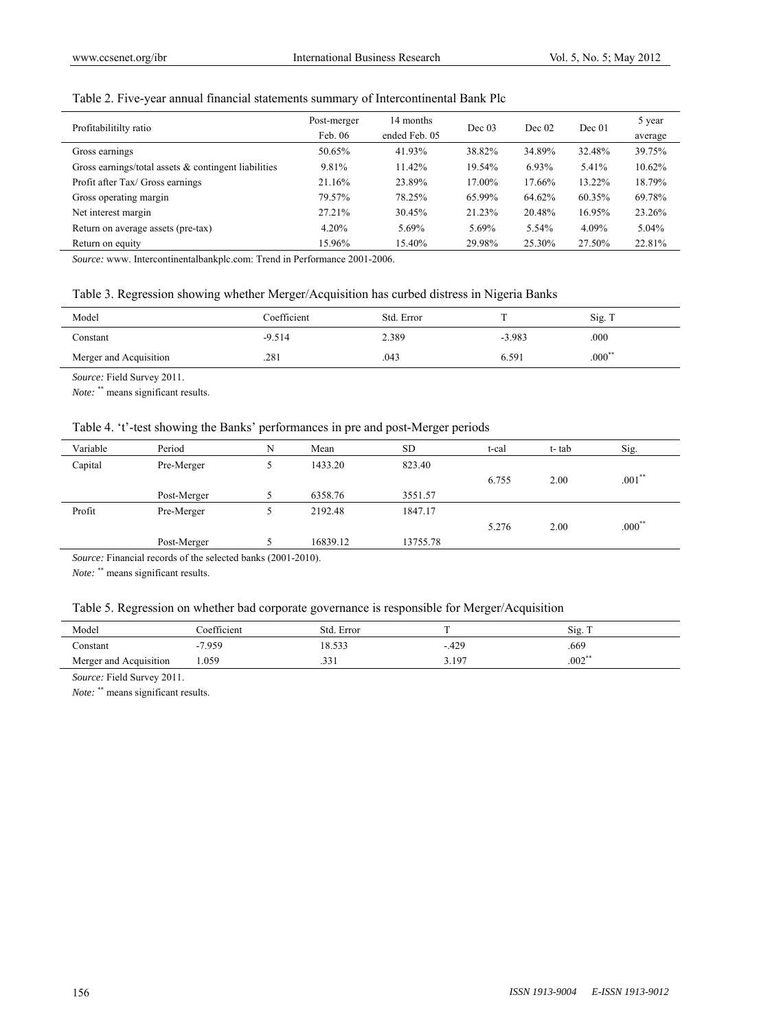# Table 2. Five-year annual financial statements summary of Intercontinental Bank Plc

| Profitabilitilty ratio                                  | Post-merger | 14 months     | Dec 03   | Dec 02 | Dec 01 | 5 year    |
|---------------------------------------------------------|-------------|---------------|----------|--------|--------|-----------|
|                                                         | Feb. 06     | ended Feb. 05 |          |        |        | average   |
| Gross earnings                                          | 50.65%      | 41.93%        | 38.82%   | 34.89% | 32.48% | 39.75%    |
| Gross earnings/total assets $\&$ contingent liabilities | 9.81%       | 11.42%        | 19.54%   | 6.93%  | 5.41%  | $10.62\%$ |
| Profit after Tax/ Gross earnings                        | 21.16%      | 23.89%        | 17.00%   | 17.66% | 13.22% | 18.79%    |
| Gross operating margin                                  | 79.57%      | 78.25%        | 65.99%   | 64.62% | 60.35% | 69.78%    |
| Net interest margin                                     | 27.21%      | 30.45%        | 21.23%   | 20.48% | 16.95% | 23.26%    |
| Return on average assets (pre-tax)                      | 4.20%       | 5.69%         | $5.69\%$ | 5.54%  | 4.09%  | 5.04%     |
| Return on equity                                        | 15.96%      | 15.40%        | 29.98%   | 25.30% | 27.50% | 22.81%    |

*Source:* www. Intercontinentalbankplc.com: Trend in Performance 2001-2006.

# Table 3. Regression showing whether Merger/Acquisition has curbed distress in Nigeria Banks

| Model                  | Coefficient | Std. Error |          | Sig. T<br>$\mathbf{r}$ |
|------------------------|-------------|------------|----------|------------------------|
| Constant               | $-9.514$    | 2.389      | $-3.983$ | .000                   |
| Merger and Acquisition | .281        | .043       | 6.591    | $.000**$               |

*Source:* Field Survey 2011.

*Note:* \*\* means significant results.

## Table 4. 't'-test showing the Banks' performances in pre and post-Merger periods

| Variable | Period      | N | Mean     | <b>SD</b> | t-cal | t-tab | Sig.      |
|----------|-------------|---|----------|-----------|-------|-------|-----------|
| Capital  | Pre-Merger  |   | 1433.20  | 823.40    |       |       |           |
|          |             |   |          |           | 6.755 | 2.00  | $.001***$ |
|          | Post-Merger |   | 6358.76  | 3551.57   |       |       |           |
| Profit   | Pre-Merger  |   | 2192.48  | 1847.17   |       |       |           |
|          |             |   |          |           | 5.276 | 2.00  | $.000**$  |
|          | Post-Merger |   | 16839.12 | 13755.78  |       |       |           |

*Source:* Financial records of the selected banks (2001-2010).

*Note:* \*\* means significant results.

# Table 5. Regression on whether bad corporate governance is responsible for Merger/Acquisition

| Model                  | Coefficient    | . Error<br>Std   |                      | Sig.      |
|------------------------|----------------|------------------|----------------------|-----------|
| ≥onstant               | -7.959<br>$-1$ | 18.53?           | $-42c$               | .669      |
| Merger and Acquisition | 1.059          | $\sim$<br>1 د د. | -197<br>J.I <i>J</i> | $.002$ ** |

*Source:* Field Survey 2011.

l,

*Note:* \*\* means significant results.